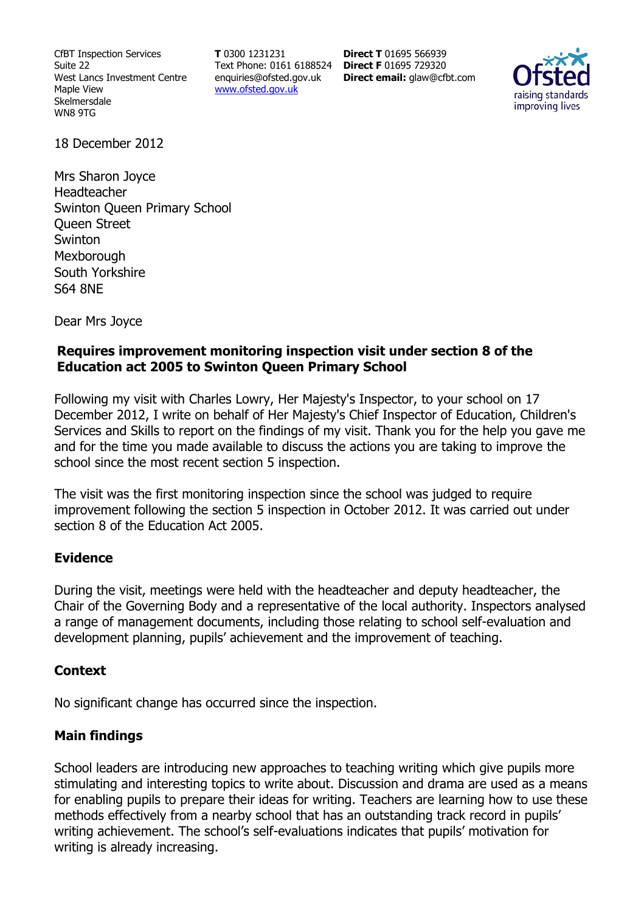CfBT Inspection Services Suite 22 West Lancs Investment Centre Maple View Skelmersdale WN8 9TG

**T** 0300 1231231 Text Phone: 0161 6188524 **Direct F** 01695 729320 enquiries@ofsted.gov.uk www.ofsted.gov.uk

**Direct T** 01695 566939 **Direct email:** glaw@cfbt.com



18 December 2012

Mrs Sharon Joyce Headteacher Swinton Queen Primary School Queen Street Swinton **Mexborough** South Yorkshire S64 8NE

Dear Mrs Joyce

### **Requires improvement monitoring inspection visit under section 8 of the Education act 2005 to Swinton Queen Primary School**

Following my visit with Charles Lowry, Her Majesty's Inspector, to your school on 17 December 2012, I write on behalf of Her Majesty's Chief Inspector of Education, Children's Services and Skills to report on the findings of my visit. Thank you for the help you gave me and for the time you made available to discuss the actions you are taking to improve the school since the most recent section 5 inspection.

The visit was the first monitoring inspection since the school was judged to require improvement following the section 5 inspection in October 2012. It was carried out under section 8 of the Education Act 2005.

# **Evidence**

During the visit, meetings were held with the headteacher and deputy headteacher, the Chair of the Governing Body and a representative of the local authority. Inspectors analysed a range of management documents, including those relating to school self-evaluation and development planning, pupils' achievement and the improvement of teaching.

#### **Context**

No significant change has occurred since the inspection.

# **Main findings**

School leaders are introducing new approaches to teaching writing which give pupils more stimulating and interesting topics to write about. Discussion and drama are used as a means for enabling pupils to prepare their ideas for writing. Teachers are learning how to use these methods effectively from a nearby school that has an outstanding track record in pupils' writing achievement. The school's self-evaluations indicates that pupils' motivation for writing is already increasing.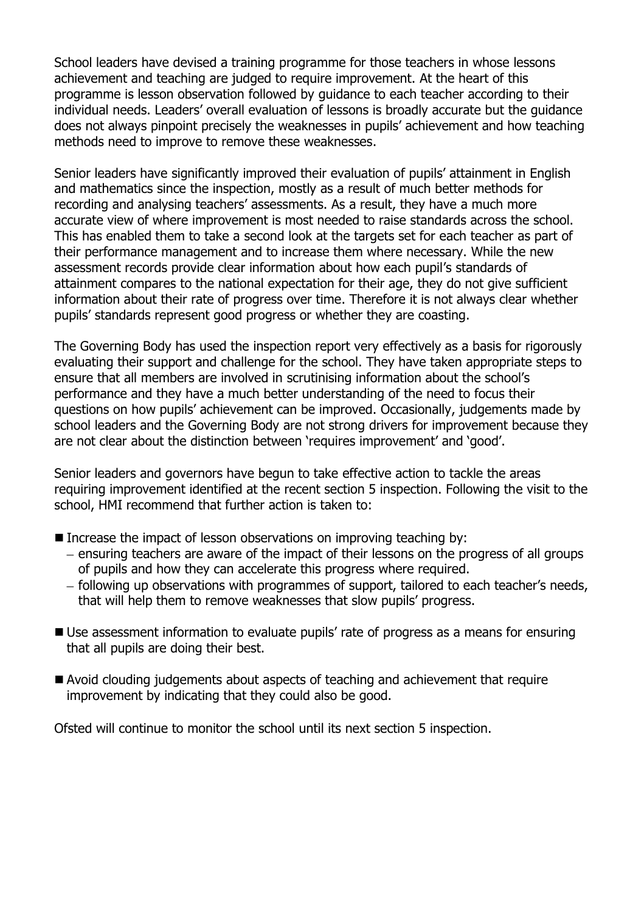School leaders have devised a training programme for those teachers in whose lessons achievement and teaching are judged to require improvement. At the heart of this programme is lesson observation followed by guidance to each teacher according to their individual needs. Leaders' overall evaluation of lessons is broadly accurate but the guidance does not always pinpoint precisely the weaknesses in pupils' achievement and how teaching methods need to improve to remove these weaknesses.

Senior leaders have significantly improved their evaluation of pupils' attainment in English and mathematics since the inspection, mostly as a result of much better methods for recording and analysing teachers' assessments. As a result, they have a much more accurate view of where improvement is most needed to raise standards across the school. This has enabled them to take a second look at the targets set for each teacher as part of their performance management and to increase them where necessary. While the new assessment records provide clear information about how each pupil's standards of attainment compares to the national expectation for their age, they do not give sufficient information about their rate of progress over time. Therefore it is not always clear whether pupils' standards represent good progress or whether they are coasting.

The Governing Body has used the inspection report very effectively as a basis for rigorously evaluating their support and challenge for the school. They have taken appropriate steps to ensure that all members are involved in scrutinising information about the school's performance and they have a much better understanding of the need to focus their questions on how pupils' achievement can be improved. Occasionally, judgements made by school leaders and the Governing Body are not strong drivers for improvement because they are not clear about the distinction between 'requires improvement' and 'good'.

Senior leaders and governors have begun to take effective action to tackle the areas requiring improvement identified at the recent section 5 inspection. Following the visit to the school, HMI recommend that further action is taken to:

- Increase the impact of lesson observations on improving teaching by:
	- ensuring teachers are aware of the impact of their lessons on the progress of all groups of pupils and how they can accelerate this progress where required.
	- following up observations with programmes of support, tailored to each teacher's needs, that will help them to remove weaknesses that slow pupils' progress.
- Use assessment information to evaluate pupils' rate of progress as a means for ensuring that all pupils are doing their best.
- Avoid clouding judgements about aspects of teaching and achievement that require improvement by indicating that they could also be good.

Ofsted will continue to monitor the school until its next section 5 inspection.